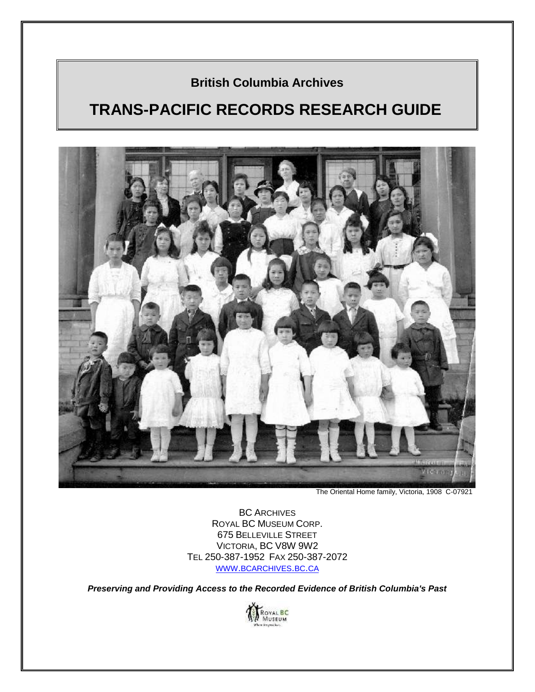## **British Columbia Archives**

# **TRANS-PACIFIC RECORDS RESEARCH GUIDE**



The Oriental Home family, Victoria, 1908 C-07921

BC ARCHIVES ROYAL BC MUSEUM CORP. 675 BELLEVILLE STREET VICTORIA, BC V8W 9W2 TEL 250-387-1952 FAX 250-387-2072 WWW.[BCARCHIVES](http://www.bcarchives.gov.bc.ca/).BC.CA

*Preserving and Providing Access to the Recorded Evidence of British Columbia's Past*

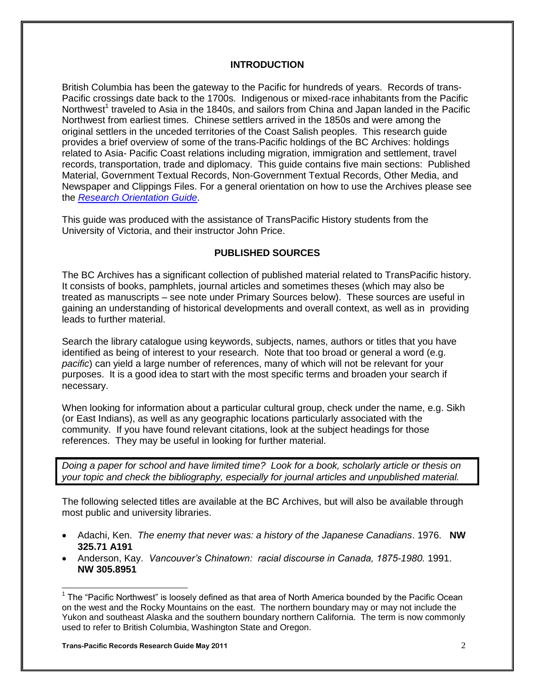#### **INTRODUCTION**

British Columbia has been the gateway to the Pacific for hundreds of years. Records of trans-Pacific crossings date back to the 1700s. Indigenous or mixed-race inhabitants from the Pacific Northwest<sup>1</sup> traveled to Asia in the 1840s, and sailors from China and Japan landed in the Pacific Northwest from earliest times. Chinese settlers arrived in the 1850s and were among the original settlers in the unceded territories of the Coast Salish peoples. This research guide provides a brief overview of some of the trans-Pacific holdings of the BC Archives: holdings related to Asia- Pacific Coast relations including migration, immigration and settlement, travel records, transportation, trade and diplomacy. This guide contains five main sections: Published Material, Government Textual Records, Non-Government Textual Records, Other Media, and Newspaper and Clippings Files. For a general orientation on how to use the Archives please see the *[Research Orientation Guide](http://www.bcarchives.bc.ca/BC_Research_Guide/BC_On_Site.aspx)*.

This guide was produced with the assistance of TransPacific History students from the University of Victoria, and their instructor John Price.

#### **PUBLISHED SOURCES**

The BC Archives has a significant collection of published material related to TransPacific history. It consists of books, pamphlets, journal articles and sometimes theses (which may also be treated as manuscripts – see note under Primary Sources below). These sources are useful in gaining an understanding of historical developments and overall context, as well as in providing leads to further material.

Search the library catalogue using keywords, subjects, names, authors or titles that you have identified as being of interest to your research. Note that too broad or general a word (e.g. *pacific*) can yield a large number of references, many of which will not be relevant for your purposes. It is a good idea to start with the most specific terms and broaden your search if necessary.

When looking for information about a particular cultural group, check under the name, e.g. Sikh (or East Indians), as well as any geographic locations particularly associated with the community. If you have found relevant citations, look at the subject headings for those references. They may be useful in looking for further material.

*Doing a paper for school and have limited time? Look for a book, scholarly article or thesis on your topic and check the bibliography, especially for journal articles and unpublished material.*

The following selected titles are available at the BC Archives, but will also be available through most public and university libraries.

- Adachi, Ken. *The enemy that never was: a history of the Japanese Canadians*. 1976. **NW 325.71 A191**
- Anderson, Kay. *Vancouver's Chinatown: racial discourse in Canada, 1875-1980.* 1991. **NW 305.8951**

 $\overline{a}$ 

 $1$  The "Pacific Northwest" is loosely defined as that area of North America bounded by the Pacific Ocean on the west and the Rocky Mountains on the east. The northern boundary may or may not include the Yukon and southeast Alaska and the southern boundary northern California. The term is now commonly used to refer to British Columbia, Washington State and Oregon.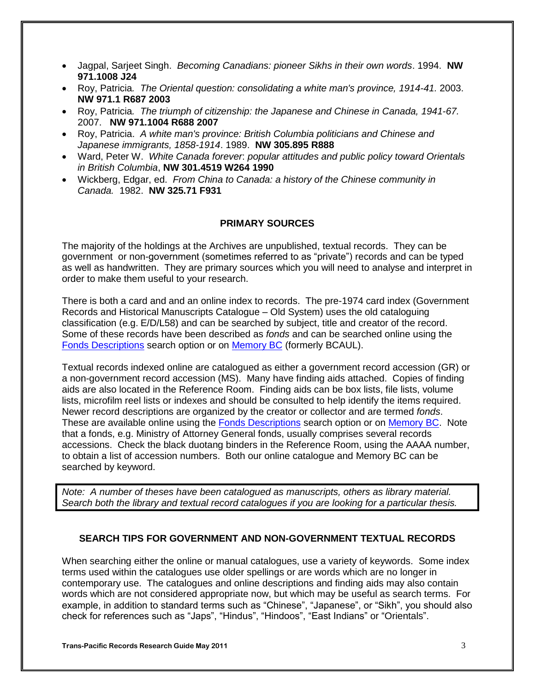- Jagpal, Sarjeet Singh. *Becoming Canadians: pioneer Sikhs in their own words*. 1994. **NW 971.1008 J24**
- Roy, Patricia*. The Oriental question: consolidating a white man's province, 1914-41.* 2003. **NW 971.1 R687 2003**
- Roy, Patricia*. The triumph of citizenship: the Japanese and Chinese in Canada, 1941-67.*  2007. **NW 971.1004 R688 2007**
- Roy, Patricia. *A white man's province: British Columbia politicians and Chinese and Japanese immigrants, 1858-1914*. 1989. **NW 305.895 R888**
- Ward, Peter W. *White Canada forever*: *popular attitudes and public policy toward Orientals in British Columbia*, **NW 301.4519 W264 1990**
- Wickberg, Edgar, ed. *From China to Canada: a history of the Chinese community in Canada.* 1982. **NW 325.71 F931**

#### **PRIMARY SOURCES**

The majority of the holdings at the Archives are unpublished, textual records. They can be government or non-government (sometimes referred to as "private") records and can be typed as well as handwritten. They are primary sources which you will need to analyse and interpret in order to make them useful to your research.

There is both a card and and an online index to records. The pre-1974 card index (Government Records and Historical Manuscripts Catalogue – Old System) uses the old cataloguing classification (e.g. E/D/L58) and can be searched by subject, title and creator of the record. Some of these records have been described as *fonds* and can be searched online using the [Fonds Descriptions](http://www.bcarchives.bc.ca/BC_Our_Collections/fonds.aspx) search option or on [Memory BC](http://memorybc.ca/) (formerly BCAUL).

Textual records indexed online are catalogued as either a government record accession (GR) or a non-government record accession (MS). Many have finding aids attached. Copies of finding aids are also located in the Reference Room. Finding aids can be box lists, file lists, volume lists, microfilm reel lists or indexes and should be consulted to help identify the items required. Newer record descriptions are organized by the creator or collector and are termed *fonds*. These are available online using the **Fonds Descriptions** search option or on **Memory BC**. Note that a fonds, e.g. Ministry of Attorney General fonds, usually comprises several records accessions. Check the black duotang binders in the Reference Room, using the AAAA number, to obtain a list of accession numbers. Both our online catalogue and Memory BC can be searched by keyword.

*Note: A number of theses have been catalogued as manuscripts, others as library material. Search both the library and textual record catalogues if you are looking for a particular thesis.*

#### **SEARCH TIPS FOR GOVERNMENT AND NON-GOVERNMENT TEXTUAL RECORDS**

When searching either the online or manual catalogues, use a variety of keywords. Some index terms used within the catalogues use older spellings or are words which are no longer in contemporary use. The catalogues and online descriptions and finding aids may also contain words which are not considered appropriate now, but which may be useful as search terms. For example, in addition to standard terms such as "Chinese", "Japanese", or "Sikh", you should also check for references such as "Japs", "Hindus", "Hindoos", "East Indians" or "Orientals".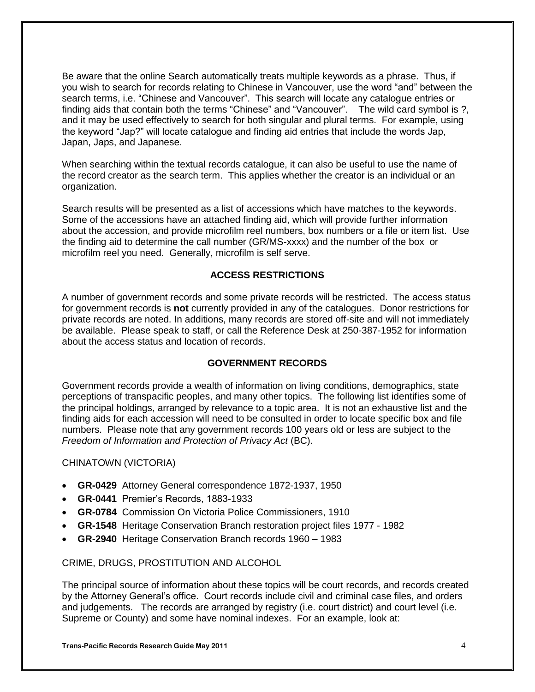Be aware that the online Search automatically treats multiple keywords as a phrase. Thus, if you wish to search for records relating to Chinese in Vancouver, use the word "and" between the search terms, i.e. "Chinese and Vancouver". This search will locate any catalogue entries or finding aids that contain both the terms "Chinese" and "Vancouver". The wild card symbol is ?, and it may be used effectively to search for both singular and plural terms. For example, using the keyword "Jap?" will locate catalogue and finding aid entries that include the words Jap, Japan, Japs, and Japanese.

When searching within the textual records catalogue, it can also be useful to use the name of the record creator as the search term. This applies whether the creator is an individual or an organization.

Search results will be presented as a list of accessions which have matches to the keywords. Some of the accessions have an attached finding aid, which will provide further information about the accession, and provide microfilm reel numbers, box numbers or a file or item list. Use the finding aid to determine the call number (GR/MS-xxxx) and the number of the box or microfilm reel you need. Generally, microfilm is self serve.

#### **ACCESS RESTRICTIONS**

A number of government records and some private records will be restricted. The access status for government records is **not** currently provided in any of the catalogues. Donor restrictions for private records are noted. In additions, many records are stored off-site and will not immediately be available. Please speak to staff, or call the Reference Desk at 250-387-1952 for information about the access status and location of records.

#### **GOVERNMENT RECORDS**

Government records provide a wealth of information on living conditions, demographics, state perceptions of transpacific peoples, and many other topics. The following list identifies some of the principal holdings, arranged by relevance to a topic area. It is not an exhaustive list and the finding aids for each accession will need to be consulted in order to locate specific box and file numbers. Please note that any government records 100 years old or less are subject to the *Freedom of Information and Protection of Privacy Act* (BC).

#### CHINATOWN (VICTORIA)

- **GR-0429** Attorney General correspondence 1872-1937, 1950
- **GR-0441** Premier's Records, 1883-1933
- **GR-0784** Commission On Victoria Police Commissioners, 1910
- **GR-1548** Heritage Conservation Branch restoration project files 1977 1982
- **GR-2940** Heritage Conservation Branch records 1960 1983

#### CRIME, DRUGS, PROSTITUTION AND ALCOHOL

The principal source of information about these topics will be court records, and records created by the Attorney General's office. Court records include civil and criminal case files, and orders and judgements. The records are arranged by registry (i.e. court district) and court level (i.e. Supreme or County) and some have nominal indexes. For an example, look at: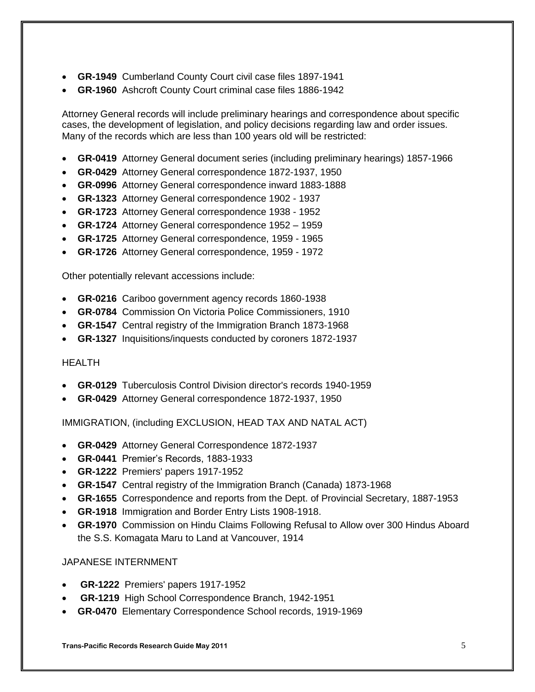- **GR-1949** Cumberland County Court civil case files 1897-1941
- **GR-1960** Ashcroft County Court criminal case files 1886-1942

Attorney General records will include preliminary hearings and correspondence about specific cases, the development of legislation, and policy decisions regarding law and order issues. Many of the records which are less than 100 years old will be restricted:

- **GR-0419** Attorney General document series (including preliminary hearings) 1857-1966
- **GR-0429** Attorney General correspondence 1872-1937, 1950
- **GR-0996** Attorney General correspondence inward 1883-1888
- **GR-1323** Attorney General correspondence 1902 1937
- **GR-1723** Attorney General correspondence 1938 1952
- **GR-1724** Attorney General correspondence 1952 1959
- **GR-1725** Attorney General correspondence, 1959 1965
- **GR-1726** Attorney General correspondence, 1959 1972

Other potentially relevant accessions include:

- **GR-0216** Cariboo government agency records 1860-1938
- **GR-0784** Commission On Victoria Police Commissioners, 1910
- **GR-1547** Central registry of the Immigration Branch 1873-1968
- **GR-1327** Inquisitions/inquests conducted by coroners 1872-1937

## HEALTH

- **GR-0129** Tuberculosis Control Division director's records 1940-1959
- **GR-0429** Attorney General correspondence 1872-1937, 1950

IMMIGRATION, (including EXCLUSION, HEAD TAX AND NATAL ACT)

- **GR-0429** Attorney General Correspondence 1872-1937
- **GR-0441** Premier's Records, 1883-1933
- **GR-1222** Premiers' papers 1917-1952
- **GR-1547** Central registry of the Immigration Branch (Canada) 1873-1968
- **GR-1655** Correspondence and reports from the Dept. of Provincial Secretary, 1887-1953
- **GR-1918** Immigration and Border Entry Lists 1908-1918.
- **GR-1970** Commission on Hindu Claims Following Refusal to Allow over 300 Hindus Aboard the S.S. Komagata Maru to Land at Vancouver, 1914

## JAPANESE INTERNMENT

- **GR-1222** Premiers' papers 1917-1952
- **GR-1219** High School Correspondence Branch, 1942-1951
- **GR-0470** Elementary Correspondence School records, 1919-1969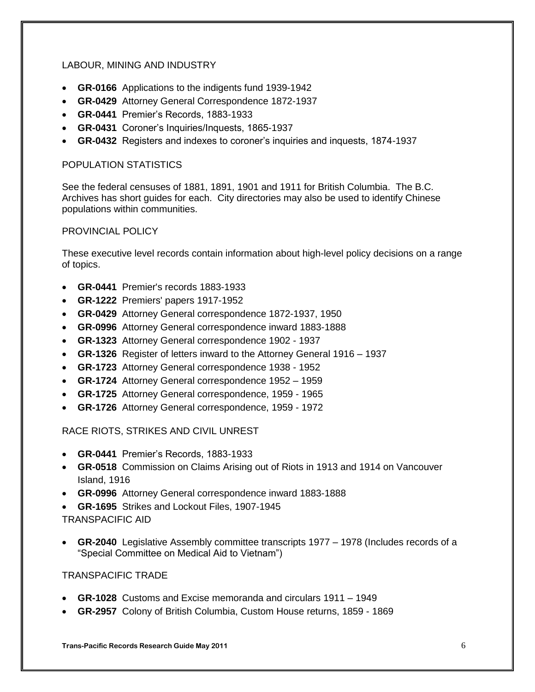## LABOUR, MINING AND INDUSTRY

- **GR-0166** Applications to the indigents fund 1939-1942
- **GR-0429** Attorney General Correspondence 1872-1937
- **GR-0441** Premier's Records, 1883-1933
- **GR-0431** Coroner's Inquiries/Inquests, 1865-1937
- **GR-0432** Registers and indexes to coroner's inquiries and inquests, 1874-1937

## POPULATION STATISTICS

See the federal censuses of 1881, 1891, 1901 and 1911 for British Columbia. The B.C. Archives has short guides for each. City directories may also be used to identify Chinese populations within communities.

## PROVINCIAL POLICY

These executive level records contain information about high-level policy decisions on a range of topics.

- **GR-0441** Premier's records 1883-1933
- **GR-1222** Premiers' papers 1917-1952
- **GR-0429** Attorney General correspondence 1872-1937, 1950
- **GR-0996** Attorney General correspondence inward 1883-1888
- **GR-1323** Attorney General correspondence 1902 1937
- **GR-1326** Register of letters inward to the Attorney General 1916 1937
- **GR-1723** Attorney General correspondence 1938 1952
- **GR-1724** Attorney General correspondence 1952 1959
- **GR-1725** Attorney General correspondence, 1959 1965
- **GR-1726** Attorney General correspondence, 1959 1972

RACE RIOTS, STRIKES AND CIVIL UNREST

- **GR-0441** Premier's Records, 1883-1933
- **GR-0518** Commission on Claims Arising out of Riots in 1913 and 1914 on Vancouver Island, 1916
- **GR-0996** Attorney General correspondence inward 1883-1888
- **GR-1695** Strikes and Lockout Files, 1907-1945

TRANSPACIFIC AID

 **GR-2040** Legislative Assembly committee transcripts 1977 – 1978 (Includes records of a "Special Committee on Medical Aid to Vietnam")

TRANSPACIFIC TRADE

- **GR-1028** Customs and Excise memoranda and circulars 1911 1949
- **GR-2957** Colony of British Columbia, Custom House returns, 1859 1869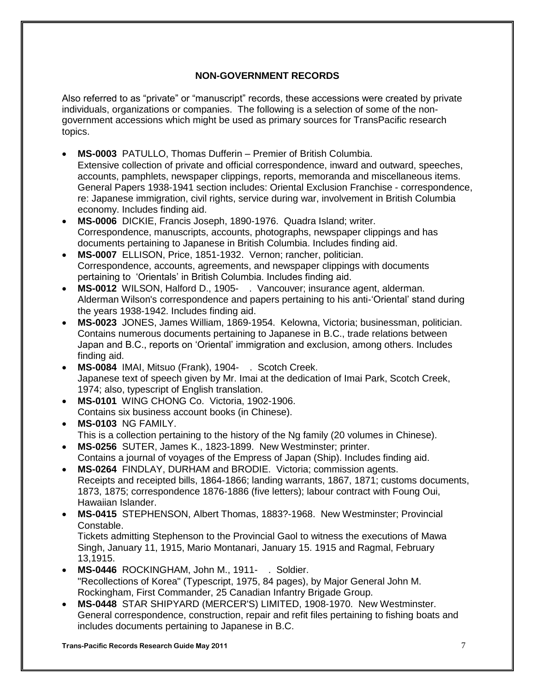## **NON-GOVERNMENT RECORDS**

Also referred to as "private" or "manuscript" records, these accessions were created by private individuals, organizations or companies. The following is a selection of some of the nongovernment accessions which might be used as primary sources for TransPacific research topics.

- **MS-0003** PATULLO, Thomas Dufferin Premier of British Columbia.
- Extensive collection of private and official correspondence, inward and outward, speeches, accounts, pamphlets, newspaper clippings, reports, memoranda and miscellaneous items. General Papers 1938-1941 section includes: Oriental Exclusion Franchise - correspondence, re: Japanese immigration, civil rights, service during war, involvement in British Columbia economy. Includes finding aid.
- **MS-0006** DICKIE, Francis Joseph, 1890-1976. Quadra Island; writer. Correspondence, manuscripts, accounts, photographs, newspaper clippings and has documents pertaining to Japanese in British Columbia. Includes finding aid.
- **MS-0007** ELLISON, Price, 1851-1932. Vernon; rancher, politician. Correspondence, accounts, agreements, and newspaper clippings with documents pertaining to 'Orientals' in British Columbia. Includes finding aid.
- **MS-0012** WILSON, Halford D., 1905- . Vancouver; insurance agent, alderman. Alderman Wilson's correspondence and papers pertaining to his anti-'Oriental' stand during the years 1938-1942. Includes finding aid.
- **MS-0023** JONES, James William, 1869-1954. Kelowna, Victoria; businessman, politician. Contains numerous documents pertaining to Japanese in B.C., trade relations between Japan and B.C., reports on 'Oriental' immigration and exclusion, among others. Includes finding aid.
- **MS-0084** IMAI, Mitsuo (Frank), 1904- . Scotch Creek. Japanese text of speech given by Mr. Imai at the dedication of Imai Park, Scotch Creek, 1974; also, typescript of English translation.
- **MS-0101** WING CHONG Co. Victoria, 1902-1906. Contains six business account books (in Chinese).
- **MS-0103** NG FAMILY. This is a collection pertaining to the history of the Ng family (20 volumes in Chinese).
- **MS-0256** SUTER, James K., 1823-1899. New Westminster; printer. Contains a journal of voyages of the Empress of Japan (Ship). Includes finding aid.
- **MS-0264** FINDLAY, DURHAM and BRODIE. Victoria; commission agents. Receipts and receipted bills, 1864-1866; landing warrants, 1867, 1871; customs documents, 1873, 1875; correspondence 1876-1886 (five letters); labour contract with Foung Oui, Hawaiian Islander.
- **MS-0415** STEPHENSON, Albert Thomas, 1883?-1968. New Westminster; Provincial Constable.

Tickets admitting Stephenson to the Provincial Gaol to witness the executions of Mawa Singh, January 11, 1915, Mario Montanari, January 15. 1915 and Ragmal, February 13,1915.

- **MS-0446** ROCKINGHAM, John M., 1911- . Soldier. "Recollections of Korea" (Typescript, 1975, 84 pages), by Major General John M. Rockingham, First Commander, 25 Canadian Infantry Brigade Group.
- **MS-0448** STAR SHIPYARD (MERCER'S) LIMITED, 1908-1970. New Westminster. General correspondence, construction, repair and refit files pertaining to fishing boats and includes documents pertaining to Japanese in B.C.

**Trans-Pacific Records Research Guide May 2011** 7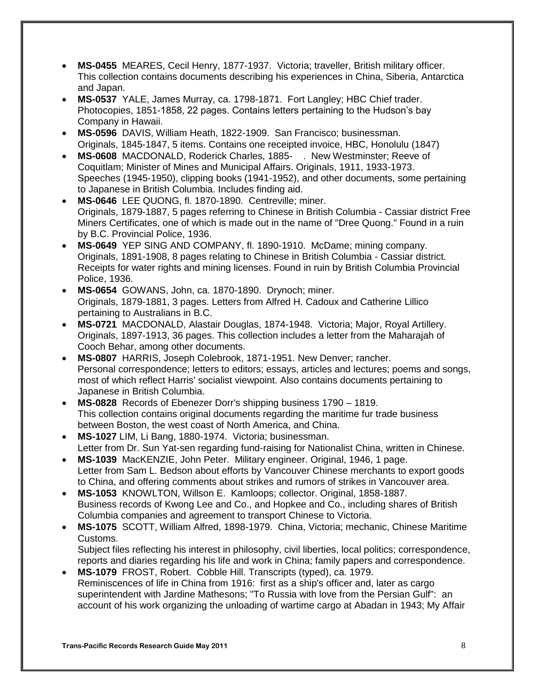- **MS-0455** MEARES, Cecil Henry, 1877-1937. Victoria; traveller, British military officer. This collection contains documents describing his experiences in China, Siberia, Antarctica and Japan.
- **MS-0537** YALE, James Murray, ca. 1798-1871. Fort Langley; HBC Chief trader. Photocopies, 1851-1858, 22 pages. Contains letters pertaining to the Hudson's bay Company in Hawaii.
- **MS-0596** DAVIS, William Heath, 1822-1909. San Francisco; businessman. Originals, 1845-1847, 5 items. Contains one receipted invoice, HBC, Honolulu (1847)
- **MS-0608** MACDONALD, Roderick Charles, 1885- . New Westminster; Reeve of Coquitlam; Minister of Mines and Municipal Affairs. Originals, 1911, 1933-1973. Speeches (1945-1950), clipping books (1941-1952), and other documents, some pertaining to Japanese in British Columbia. Includes finding aid.
- **MS-0646** LEE QUONG, fl. 1870-1890. Centreville; miner. Originals, 1879-1887, 5 pages referring to Chinese in British Columbia - Cassiar district Free Miners Certificates, one of which is made out in the name of "Dree Quong." Found in a ruin by B.C. Provincial Police, 1936.
- **MS-0649** YEP SING AND COMPANY, fl. 1890-1910. McDame; mining company. Originals, 1891-1908, 8 pages relating to Chinese in British Columbia - Cassiar district. Receipts for water rights and mining licenses. Found in ruin by British Columbia Provincial Police, 1936.
- **MS-0654** GOWANS, John, ca. 1870-1890. Drynoch; miner. Originals, 1879-1881, 3 pages. Letters from Alfred H. Cadoux and Catherine Lillico pertaining to Australians in B.C.
- **MS-0721** MACDONALD, Alastair Douglas, 1874-1948. Victoria; Major, Royal Artillery. Originals, 1897-1913, 36 pages. This collection includes a letter from the Maharajah of Cooch Behar, among other documents.
- **MS-0807** HARRIS, Joseph Colebrook, 1871-1951. New Denver; rancher. Personal correspondence; letters to editors; essays, articles and lectures; poems and songs, most of which reflect Harris' socialist viewpoint. Also contains documents pertaining to Japanese in British Columbia.
- **MS-0828** Records of Ebenezer Dorr's shipping business 1790 1819. This collection contains original documents regarding the maritime fur trade business between Boston, the west coast of North America, and China.
- **MS-1027** LIM, Li Bang, 1880-1974. Victoria; businessman. Letter from Dr. Sun Yat-sen regarding fund-raising for Nationalist China, written in Chinese.
- **MS-1039** MacKENZIE, John Peter. Military engineer. Original, 1946, 1 page. Letter from Sam L. Bedson about efforts by Vancouver Chinese merchants to export goods to China, and offering comments about strikes and rumors of strikes in Vancouver area.
- **MS-1053** KNOWLTON, Willson E. Kamloops; collector. Original, 1858-1887. Business records of Kwong Lee and Co., and Hopkee and Co., including shares of British Columbia companies and agreement to transport Chinese to Victoria.
- **MS-1075** SCOTT, William Alfred, 1898-1979. China, Victoria; mechanic, Chinese Maritime Customs. Subject files reflecting his interest in philosophy, civil liberties, local politics; correspondence, reports and diaries regarding his life and work in China; family papers and correspondence.
- **MS-1079** FROST, Robert. Cobble Hill. Transcripts (typed), ca. 1979. Reminiscences of life in China from 1916: first as a ship's officer and, later as cargo superintendent with Jardine Mathesons; "To Russia with love from the Persian Gulf": an account of his work organizing the unloading of wartime cargo at Abadan in 1943; My Affair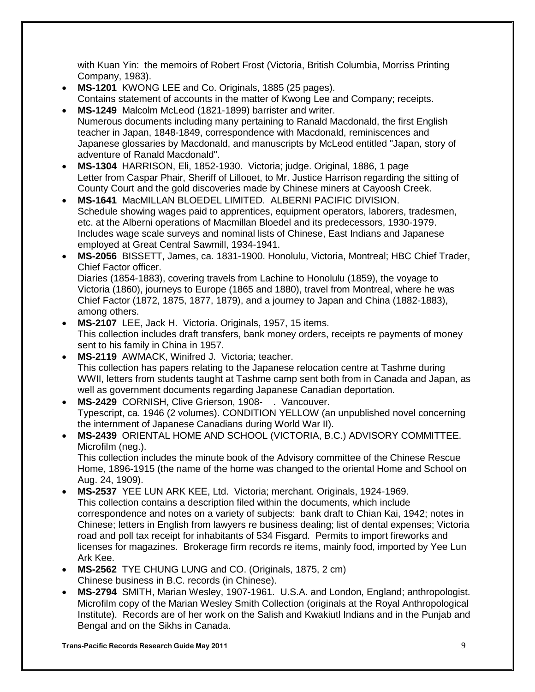with Kuan Yin: the memoirs of Robert Frost (Victoria, British Columbia, Morriss Printing Company, 1983).

- **MS-1201** KWONG LEE and Co. Originals, 1885 (25 pages). Contains statement of accounts in the matter of Kwong Lee and Company; receipts.
- **MS-1249** Malcolm McLeod (1821-1899) barrister and writer. Numerous documents including many pertaining to Ranald Macdonald, the first English teacher in Japan, 1848-1849, correspondence with Macdonald, reminiscences and Japanese glossaries by Macdonald, and manuscripts by McLeod entitled "Japan, story of adventure of Ranald Macdonald".
- **MS-1304** HARRISON, Eli, 1852-1930. Victoria; judge. Original, 1886, 1 page Letter from Caspar Phair, Sheriff of Lillooet, to Mr. Justice Harrison regarding the sitting of County Court and the gold discoveries made by Chinese miners at Cayoosh Creek.
- **MS-1641** MacMILLAN BLOEDEL LIMITED. ALBERNI PACIFIC DIVISION. Schedule showing wages paid to apprentices, equipment operators, laborers, tradesmen, etc. at the Alberni operations of Macmillan Bloedel and its predecessors, 1930-1979. Includes wage scale surveys and nominal lists of Chinese, East Indians and Japanese employed at Great Central Sawmill, 1934-1941.
- **MS-2056** BISSETT, James, ca. 1831-1900. Honolulu, Victoria, Montreal; HBC Chief Trader, Chief Factor officer.

Diaries (1854-1883), covering travels from Lachine to Honolulu (1859), the voyage to Victoria (1860), journeys to Europe (1865 and 1880), travel from Montreal, where he was Chief Factor (1872, 1875, 1877, 1879), and a journey to Japan and China (1882-1883), among others.

- **MS-2107** LEE, Jack H. Victoria. Originals, 1957, 15 items. This collection includes draft transfers, bank money orders, receipts re payments of money sent to his family in China in 1957.
- **MS-2119** AWMACK, Winifred J. Victoria; teacher. This collection has papers relating to the Japanese relocation centre at Tashme during WWII, letters from students taught at Tashme camp sent both from in Canada and Japan, as well as government documents regarding Japanese Canadian deportation.
- **MS-2429** CORNISH, Clive Grierson, 1908- . Vancouver. Typescript, ca. 1946 (2 volumes). CONDITION YELLOW (an unpublished novel concerning the internment of Japanese Canadians during World War II).
- **MS-2439** ORIENTAL HOME AND SCHOOL (VICTORIA, B.C.) ADVISORY COMMITTEE. Microfilm (neg.).

This collection includes the minute book of the Advisory committee of the Chinese Rescue Home, 1896-1915 (the name of the home was changed to the oriental Home and School on Aug. 24, 1909).

- **MS-2537** YEE LUN ARK KEE, Ltd. Victoria; merchant. Originals, 1924-1969. This collection contains a description filed within the documents, which include correspondence and notes on a variety of subjects: bank draft to Chian Kai, 1942; notes in Chinese; letters in English from lawyers re business dealing; list of dental expenses; Victoria road and poll tax receipt for inhabitants of 534 Fisgard. Permits to import fireworks and licenses for magazines. Brokerage firm records re items, mainly food, imported by Yee Lun Ark Kee.
- **MS-2562** TYE CHUNG LUNG and CO. (Originals, 1875, 2 cm) Chinese business in B.C. records (in Chinese).
- **MS-2794** SMITH, Marian Wesley, 1907-1961. U.S.A. and London, England; anthropologist. Microfilm copy of the Marian Wesley Smith Collection (originals at the Royal Anthropological Institute). Records are of her work on the Salish and Kwakiutl Indians and in the Punjab and Bengal and on the Sikhs in Canada.

**Trans-Pacific Records Research Guide May 2011** 9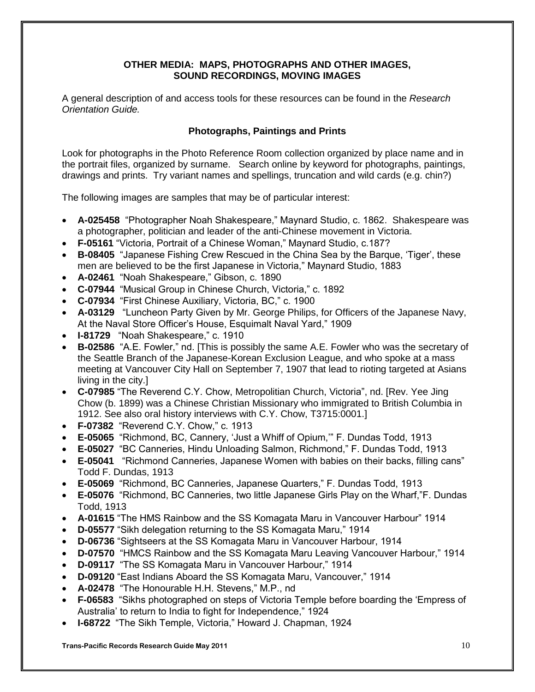## **OTHER MEDIA: MAPS, PHOTOGRAPHS AND OTHER IMAGES, SOUND RECORDINGS, MOVING IMAGES**

A general description of and access tools for these resources can be found in the *Research Orientation Guide.* 

## **Photographs, Paintings and Prints**

Look for photographs in the Photo Reference Room collection organized by place name and in the portrait files, organized by surname. Search online by keyword for photographs, paintings, drawings and prints. Try variant names and spellings, truncation and wild cards (e.g. chin?)

The following images are samples that may be of particular interest:

- **A-025458** "Photographer Noah Shakespeare," Maynard Studio, c. 1862. Shakespeare was a photographer, politician and leader of the anti-Chinese movement in Victoria.
- **F-05161** "Victoria, Portrait of a Chinese Woman," Maynard Studio, c.187?
- **B-08405** "Japanese Fishing Crew Rescued in the China Sea by the Barque, 'Tiger', these men are believed to be the first Japanese in Victoria," Maynard Studio, 1883
- **A-02461** "Noah Shakespeare," Gibson, c. 1890
- **C-07944** "Musical Group in Chinese Church, Victoria," c. 1892
- **C-07934** "First Chinese Auxiliary, Victoria, BC," c. 1900
- **A-03129** "Luncheon Party Given by Mr. George Philips, for Officers of the Japanese Navy, At the Naval Store Officer's House, Esquimalt Naval Yard," 1909
- **I-81729** "Noah Shakespeare," c. 1910
- **B-02586** "A.E. Fowler," nd. [This is possibly the same A.E. Fowler who was the secretary of the Seattle Branch of the Japanese-Korean Exclusion League, and who spoke at a mass meeting at Vancouver City Hall on September 7, 1907 that lead to rioting targeted at Asians living in the city.]
- **C-07985** "The Reverend C.Y. Chow, Metropolitian Church, Victoria", nd. [Rev. Yee Jing Chow (b. 1899) was a Chinese Christian Missionary who immigrated to British Columbia in 1912. See also oral history interviews with C.Y. Chow, T3715:0001.]
- **F-07382** "Reverend C.Y. Chow," c. 1913
- **E-05065** "Richmond, BC, Cannery, 'Just a Whiff of Opium,'" F. Dundas Todd, 1913
- **E-05027** "BC Canneries, Hindu Unloading Salmon, Richmond," F. Dundas Todd, 1913
- **E-05041** "Richmond Canneries, Japanese Women with babies on their backs, filling cans" Todd F. Dundas, 1913
- **E-05069** "Richmond, BC Canneries, Japanese Quarters," F. Dundas Todd, 1913
- **E-05076** "Richmond, BC Canneries, two little Japanese Girls Play on the Wharf,"F. Dundas Todd, 1913
- **A-01615** "The HMS Rainbow and the SS Komagata Maru in Vancouver Harbour" 1914
- **D-05577** "Sikh delegation returning to the SS Komagata Maru," 1914
- **D-06736** "Sightseers at the SS Komagata Maru in Vancouver Harbour, 1914
- **D-07570** "HMCS Rainbow and the SS Komagata Maru Leaving Vancouver Harbour," 1914
- **D-09117** "The SS Komagata Maru in Vancouver Harbour," 1914
- **D-09120** "East Indians Aboard the SS Komagata Maru, Vancouver," 1914
- **A-02478** "The Honourable H.H. Stevens," M.P., nd
- **F-06583** "Sikhs photographed on steps of Victoria Temple before boarding the 'Empress of Australia' to return to India to fight for Independence," 1924
- **I-68722** "The Sikh Temple, Victoria," Howard J. Chapman, 1924

**Trans-Pacific Records Research Guide May 2011** 10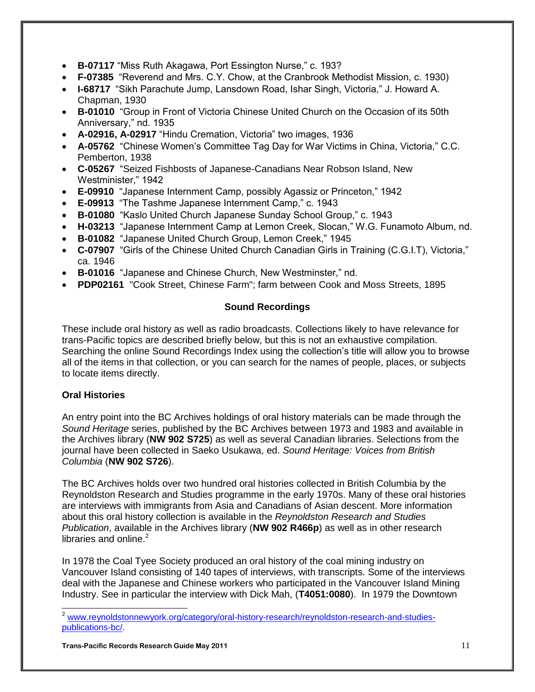- **B-07117** "Miss Ruth Akagawa, Port Essington Nurse," c. 193?
- **F-07385** "Reverend and Mrs. C.Y. Chow, at the Cranbrook Methodist Mission, c. 1930)
- **I-68717** "Sikh Parachute Jump, Lansdown Road, Ishar Singh, Victoria," J. Howard A. Chapman, 1930
- **B-01010** "Group in Front of Victoria Chinese United Church on the Occasion of its 50th Anniversary," nd. 1935
- **A-02916, A-02917** "Hindu Cremation, Victoria" two images, 1936
- **A-05762** "Chinese Women's Committee Tag Day for War Victims in China, Victoria," C.C. Pemberton, 1938
- **C-05267** "Seized Fishbosts of Japanese-Canadians Near Robson Island, New Westminister," 1942
- **E-09910** "Japanese Internment Camp, possibly Agassiz or Princeton," 1942
- **E-09913** "The Tashme Japanese Internment Camp," c. 1943
- **B-01080** "Kaslo United Church Japanese Sunday School Group," c. 1943
- **H-03213** "Japanese Internment Camp at Lemon Creek, Slocan," W.G. Funamoto Album, nd.
- **B-01082** "Japanese United Church Group, Lemon Creek," 1945
- **C-07907** "Girls of the Chinese United Church Canadian Girls in Training (C.G.I.T), Victoria," ca. 1946
- **B-01016** "Japanese and Chinese Church, New Westminster," nd.
- **PDP02161** "Cook Street, Chinese Farm"; farm between Cook and Moss Streets, 1895

## **Sound Recordings**

These include oral history as well as radio broadcasts. Collections likely to have relevance for trans-Pacific topics are described briefly below, but this is not an exhaustive compilation. Searching the online Sound Recordings Index using the collection's title will allow you to browse all of the items in that collection, or you can search for the names of people, places, or subjects to locate items directly.

## **Oral Histories**

 $\overline{a}$ 

An entry point into the BC Archives holdings of oral history materials can be made through the *Sound Heritage* series, published by the BC Archives between 1973 and 1983 and available in the Archives library (**NW 902 S725**) as well as several Canadian libraries. Selections from the journal have been collected in Saeko Usukawa, ed. *Sound Heritage: Voices from British Columbia* (**NW 902 S726**).

The BC Archives holds over two hundred oral histories collected in British Columbia by the Reynoldston Research and Studies programme in the early 1970s. Many of these oral histories are interviews with immigrants from Asia and Canadians of Asian descent. More information about this oral history collection is available in the *Reynoldston Research and Studies Publication*, available in the Archives library (**NW 902 R466p**) as well as in other research libraries and online. $2$ 

In 1978 the Coal Tyee Society produced an oral history of the coal mining industry on Vancouver Island consisting of 140 tapes of interviews, with transcripts. Some of the interviews deal with the Japanese and Chinese workers who participated in the Vancouver Island Mining Industry. See in particular the interview with Dick Mah, (**T4051:0080**). In 1979 the Downtown

<sup>&</sup>lt;sup>2</sup> [www.reynoldstonnewyork.org/category/oral-history-research/reynoldston-research-and-studies](http://www.reynoldstonnewyork.org/category/oral-history-research/reynoldston-research-and-studies-publications-bc/)[publications-bc/.](http://www.reynoldstonnewyork.org/category/oral-history-research/reynoldston-research-and-studies-publications-bc/)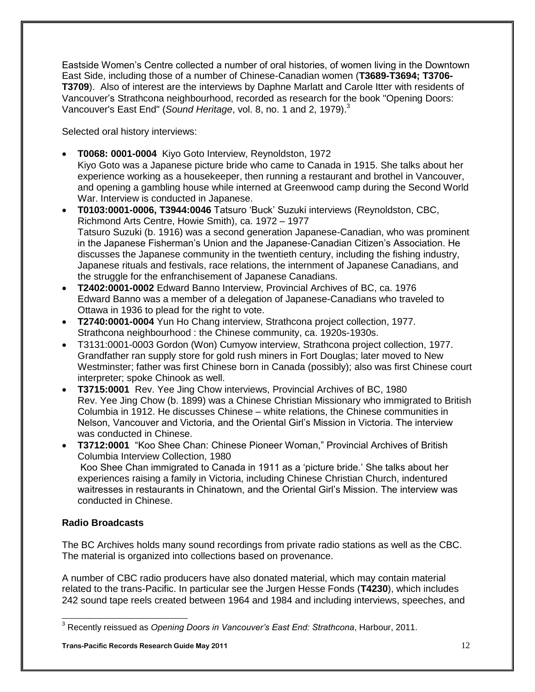Eastside Women's Centre collected a number of oral histories, of women living in the Downtown East Side, including those of a number of Chinese-Canadian women (**T3689-T3694; T3706- T3709**). Also of interest are the interviews by Daphne Marlatt and Carole Itter with residents of Vancouver's Strathcona neighbourhood, recorded as research for the book "Opening Doors: Vancouver's East End" (*Sound Heritage*, vol. 8, no. 1 and 2, 1979). 3

Selected oral history interviews:

- **T0068: 0001-0004** Kiyo Goto Interview, Reynoldston, 1972 Kiyo Goto was a Japanese picture bride who came to Canada in 1915. She talks about her experience working as a housekeeper, then running a restaurant and brothel in Vancouver, and opening a gambling house while interned at Greenwood camp during the Second World War. Interview is conducted in Japanese.
- **T0103:0001-0006, T3944:0046** Tatsuro 'Buck' Suzuki interviews (Reynoldston, CBC, Richmond Arts Centre, Howie Smith), ca. 1972 – 1977 Tatsuro Suzuki (b. 1916) was a second generation Japanese-Canadian, who was prominent in the Japanese Fisherman's Union and the Japanese-Canadian Citizen's Association. He discusses the Japanese community in the twentieth century, including the fishing industry, Japanese rituals and festivals, race relations, the internment of Japanese Canadians, and the struggle for the enfranchisement of Japanese Canadians.
- **T2402:0001-0002** Edward Banno Interview, Provincial Archives of BC, ca. 1976 Edward Banno was a member of a delegation of Japanese-Canadians who traveled to Ottawa in 1936 to plead for the right to vote.
- **T2740:0001-0004** Yun Ho Chang interview, Strathcona project collection, 1977. Strathcona neighbourhood : the Chinese community, ca. 1920s-1930s.
- T3131:0001-0003 Gordon (Won) Cumyow interview, Strathcona project collection, 1977. Grandfather ran supply store for gold rush miners in Fort Douglas; later moved to New Westminster; father was first Chinese born in Canada (possibly); also was first Chinese court interpreter; spoke Chinook as well.
- **T3715:0001** Rev. Yee Jing Chow interviews, Provincial Archives of BC, 1980 Rev. Yee Jing Chow (b. 1899) was a Chinese Christian Missionary who immigrated to British Columbia in 1912. He discusses Chinese – white relations, the Chinese communities in Nelson, Vancouver and Victoria, and the Oriental Girl's Mission in Victoria. The interview was conducted in Chinese.
- **T3712:0001** "Koo Shee Chan: Chinese Pioneer Woman," Provincial Archives of British Columbia Interview Collection, 1980 Koo Shee Chan immigrated to Canada in 1911 as a 'picture bride.' She talks about her experiences raising a family in Victoria, including Chinese Christian Church, indentured waitresses in restaurants in Chinatown, and the Oriental Girl's Mission. The interview was conducted in Chinese.

## **Radio Broadcasts**

The BC Archives holds many sound recordings from private radio stations as well as the CBC. The material is organized into collections based on provenance.

A number of CBC radio producers have also donated material, which may contain material related to the trans-Pacific. In particular see the Jurgen Hesse Fonds (**T4230**), which includes 242 sound tape reels created between 1964 and 1984 and including interviews, speeches, and

 $\overline{\phantom{a}}$ <sup>3</sup> Recently reissued as *Opening Doors in Vancouver's East End: Strathcona*, Harbour, 2011.

**Trans-Pacific Records Research Guide May 2011** 12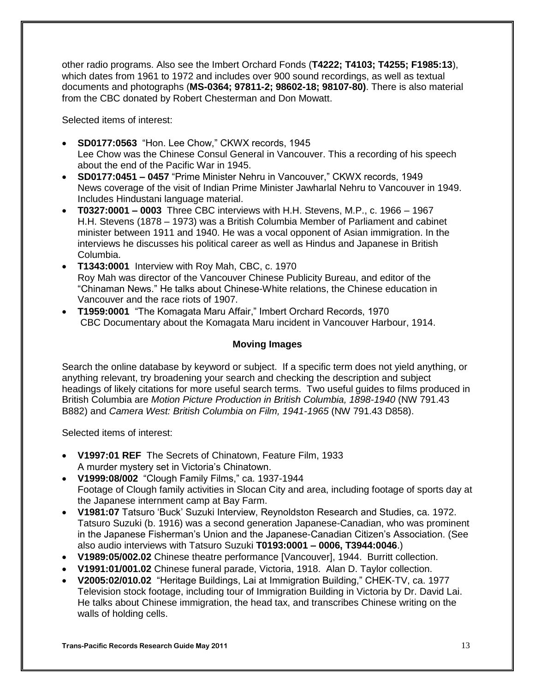other radio programs. Also see the Imbert Orchard Fonds (**T4222; T4103; T4255; F1985:13**), which dates from 1961 to 1972 and includes over 900 sound recordings, as well as textual documents and photographs (**MS-0364; 97811-2; 98602-18; 98107-80)**. There is also material from the CBC donated by Robert Chesterman and Don Mowatt.

Selected items of interest:

- **SD0177:0563** "Hon. Lee Chow," CKWX records, 1945 Lee Chow was the Chinese Consul General in Vancouver. This a recording of his speech about the end of the Pacific War in 1945.
- **SD0177:0451 – 0457** "Prime Minister Nehru in Vancouver," CKWX records, 1949 News coverage of the visit of Indian Prime Minister Jawharlal Nehru to Vancouver in 1949. Includes Hindustani language material.
- **T0327:0001 – 0003** Three CBC interviews with H.H. Stevens, M.P., c. 1966 1967 H.H. Stevens (1878 – 1973) was a British Columbia Member of Parliament and cabinet minister between 1911 and 1940. He was a vocal opponent of Asian immigration. In the interviews he discusses his political career as well as Hindus and Japanese in British Columbia.
- **T1343:0001** Interview with Roy Mah, CBC, c. 1970 Roy Mah was director of the Vancouver Chinese Publicity Bureau, and editor of the "Chinaman News." He talks about Chinese-White relations, the Chinese education in Vancouver and the race riots of 1907.
- **T1959:0001** "The Komagata Maru Affair," Imbert Orchard Records, 1970 CBC Documentary about the Komagata Maru incident in Vancouver Harbour, 1914.

## **Moving Images**

Search the online database by keyword or subject. If a specific term does not yield anything, or anything relevant, try broadening your search and checking the description and subject headings of likely citations for more useful search terms. Two useful guides to films produced in British Columbia are *Motion Picture Production in British Columbia, 1898-1940* (NW 791.43 B882) and *Camera West: British Columbia on Film, 1941-1965* (NW 791.43 D858).

Selected items of interest:

- **V1997:01 REF** The Secrets of Chinatown, Feature Film, 1933 A murder mystery set in Victoria's Chinatown.
- **V1999:08/002** "Clough Family Films," ca. 1937-1944 Footage of Clough family activities in Slocan City and area, including footage of sports day at the Japanese internment camp at Bay Farm.
- **V1981:07** Tatsuro 'Buck' Suzuki Interview, Reynoldston Research and Studies, ca. 1972. Tatsuro Suzuki (b. 1916) was a second generation Japanese-Canadian, who was prominent in the Japanese Fisherman's Union and the Japanese-Canadian Citizen's Association. (See also audio interviews with Tatsuro Suzuki **T0193:0001 – 0006, T3944:0046**.)
- **V1989:05/002.02** Chinese theatre performance [Vancouver], 1944. Burritt collection.
- **V1991:01/001.02** Chinese funeral parade, Victoria, 1918. Alan D. Taylor collection.
- **V2005:02/010.02** "Heritage Buildings, Lai at Immigration Building," CHEK-TV, ca. 1977 Television stock footage, including tour of Immigration Building in Victoria by Dr. David Lai. He talks about Chinese immigration, the head tax, and transcribes Chinese writing on the walls of holding cells.